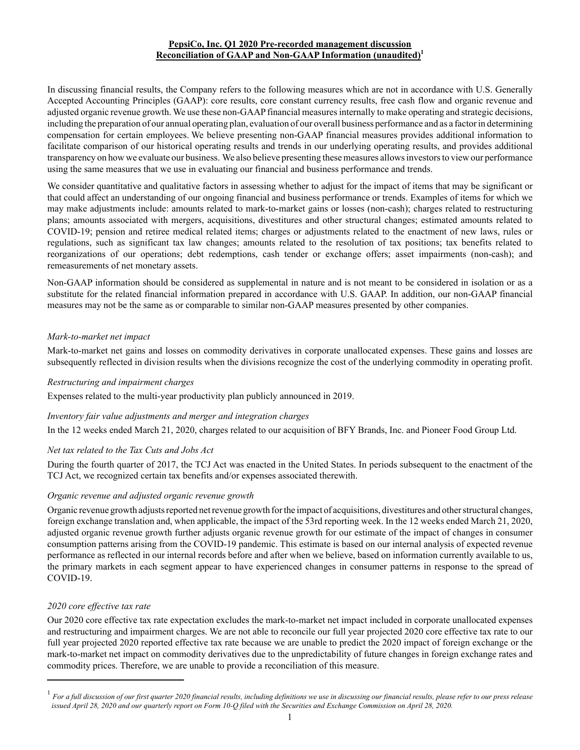## **PepsiCo, Inc. Q1 2020 Pre-recorded management discussion Reconciliation of GAAP and Non-GAAP Information (unaudited)<sup>1</sup>**

In discussing financial results, the Company refers to the following measures which are not in accordance with U.S. Generally Accepted Accounting Principles (GAAP): core results, core constant currency results, free cash flow and organic revenue and adjusted organic revenue growth. We use these non-GAAPfinancial measures internally to make operating and strategic decisions, including the preparation of our annual operating plan, evaluation of our overall business performance and as a factor in determining compensation for certain employees. We believe presenting non-GAAP financial measures provides additional information to facilitate comparison of our historical operating results and trends in our underlying operating results, and provides additional transparency on how we evaluate our business. We also believe presenting these measures allows investors to view our performance using the same measures that we use in evaluating our financial and business performance and trends.

We consider quantitative and qualitative factors in assessing whether to adjust for the impact of items that may be significant or that could affect an understanding of our ongoing financial and business performance or trends. Examples of items for which we may make adjustments include: amounts related to mark-to-market gains or losses (non-cash); charges related to restructuring plans; amounts associated with mergers, acquisitions, divestitures and other structural changes; estimated amounts related to COVID-19; pension and retiree medical related items; charges or adjustments related to the enactment of new laws, rules or regulations, such as significant tax law changes; amounts related to the resolution of tax positions; tax benefits related to reorganizations of our operations; debt redemptions, cash tender or exchange offers; asset impairments (non-cash); and remeasurements of net monetary assets.

Non-GAAP information should be considered as supplemental in nature and is not meant to be considered in isolation or as a substitute for the related financial information prepared in accordance with U.S. GAAP. In addition, our non-GAAP financial measures may not be the same as or comparable to similar non-GAAP measures presented by other companies.

## *Mark-to-market net impact*

Mark-to-market net gains and losses on commodity derivatives in corporate unallocated expenses. These gains and losses are subsequently reflected in division results when the divisions recognize the cost of the underlying commodity in operating profit.

### *Restructuring and impairment charges*

Expenses related to the multi-year productivity plan publicly announced in 2019.

# *Inventory fair value adjustments and merger and integration charges*

In the 12 weeks ended March 21, 2020, charges related to our acquisition of BFY Brands, Inc. and Pioneer Food Group Ltd.

# *Net tax related to the Tax Cuts and Jobs Act*

During the fourth quarter of 2017, the TCJ Act was enacted in the United States. In periods subsequent to the enactment of the TCJ Act, we recognized certain tax benefits and/or expenses associated therewith.

# *Organic revenue and adjusted organic revenue growth*

Organic revenue growth adjusts reported net revenue growth for the impact of acquisitions, divestitures and other structural changes, foreign exchange translation and, when applicable, the impact of the 53rd reporting week. In the 12 weeks ended March 21, 2020, adjusted organic revenue growth further adjusts organic revenue growth for our estimate of the impact of changes in consumer consumption patterns arising from the COVID-19 pandemic. This estimate is based on our internal analysis of expected revenue performance as reflected in our internal records before and after when we believe, based on information currently available to us, the primary markets in each segment appear to have experienced changes in consumer patterns in response to the spread of COVID-19.

### *2020 core effective tax rate*

Our 2020 core effective tax rate expectation excludes the mark-to-market net impact included in corporate unallocated expenses and restructuring and impairment charges. We are not able to reconcile our full year projected 2020 core effective tax rate to our full year projected 2020 reported effective tax rate because we are unable to predict the 2020 impact of foreign exchange or the mark-to-market net impact on commodity derivatives due to the unpredictability of future changes in foreign exchange rates and commodity prices. Therefore, we are unable to provide a reconciliation of this measure.

<sup>1</sup> *For a full discussion of our first quarter 2020 financial results, including definitions we use in discussing our financial results, please refer to our press release issued April 28, 2020 and our quarterly report on Form 10-Q filed with the Securities and Exchange Commission on April 28, 2020.*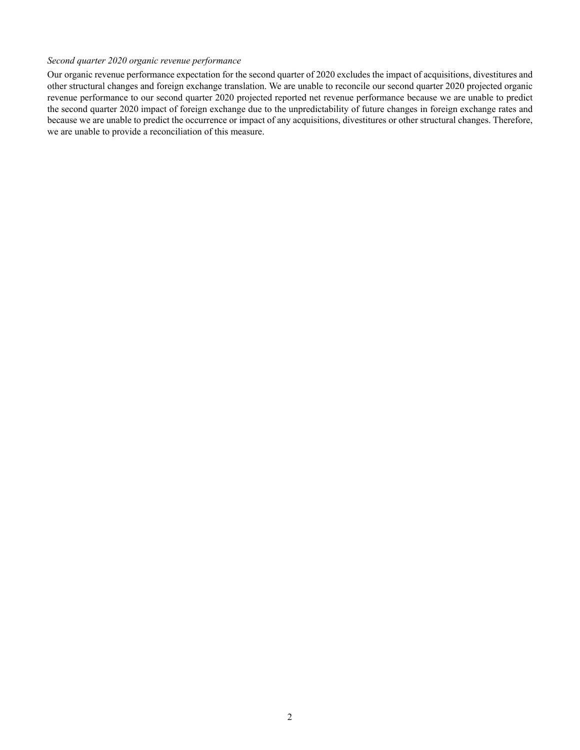#### *Second quarter 2020 organic revenue performance*

Our organic revenue performance expectation for the second quarter of 2020 excludes the impact of acquisitions, divestitures and other structural changes and foreign exchange translation. We are unable to reconcile our second quarter 2020 projected organic revenue performance to our second quarter 2020 projected reported net revenue performance because we are unable to predict the second quarter 2020 impact of foreign exchange due to the unpredictability of future changes in foreign exchange rates and because we are unable to predict the occurrence or impact of any acquisitions, divestitures or other structural changes. Therefore, we are unable to provide a reconciliation of this measure.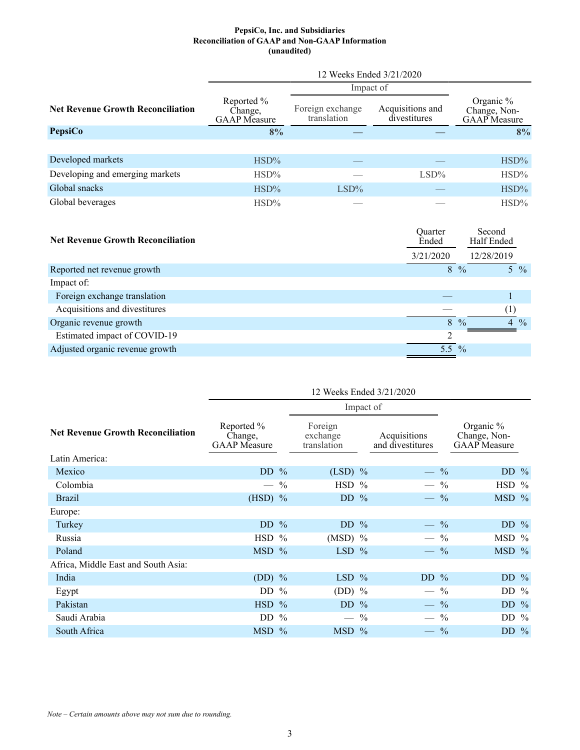#### **PepsiCo, Inc. and Subsidiaries Reconciliation of GAAP and Non-GAAP Information (unaudited)**

|                                          | 12 Weeks Ended 3/21/2020                     |                                 |                                  |                                           |  |
|------------------------------------------|----------------------------------------------|---------------------------------|----------------------------------|-------------------------------------------|--|
|                                          |                                              | Impact of                       |                                  |                                           |  |
| <b>Net Revenue Growth Reconciliation</b> | Reported %<br>Change,<br><b>GAAP</b> Measure | Foreign exchange<br>translation | Acquisitions and<br>divestitures | Organic %<br>Change, Non-<br>GAAP Measure |  |
| PepsiCo                                  | 8%                                           |                                 |                                  | 8%                                        |  |
|                                          |                                              |                                 |                                  |                                           |  |
| Developed markets                        | $HSD\%$                                      |                                 |                                  | $HSD\%$                                   |  |
| Developing and emerging markets          | $HSD\%$                                      |                                 | $LSD\%$                          | $HSD\%$                                   |  |
| Global snacks                            | $HSD\%$                                      | $LSD\%$                         |                                  | $HSD\%$                                   |  |
| Global beverages                         | $HSD\%$                                      |                                 |                                  | $HSD\%$                                   |  |

| <b>Net Revenue Growth Reconciliation</b> | Ouarter<br>Ended | Second<br>Half Ended                       |
|------------------------------------------|------------------|--------------------------------------------|
|                                          | 3/21/2020        | 12/28/2019                                 |
| Reported net revenue growth              | 8                | $\frac{0}{0}$<br>$5\frac{6}{6}$            |
| Impact of:                               |                  |                                            |
| Foreign exchange translation             |                  |                                            |
| Acquisitions and divestitures            |                  | $\left( \frac{1}{2} \right)$               |
| Organic revenue growth                   | $\mathbf{R}$     | $\frac{0}{0}$<br>$\frac{0}{0}$<br>$\Delta$ |
| Estimated impact of COVID-19             | ◠                |                                            |
| Adjusted organic revenue growth          | 5.5 $%$          |                                            |
|                                          |                  |                                            |

| 12 Weeks Ended 3/21/2020                     |           |                                                                                                                    |  |                                                                                                                     |               |                                                                                                                       |  |
|----------------------------------------------|-----------|--------------------------------------------------------------------------------------------------------------------|--|---------------------------------------------------------------------------------------------------------------------|---------------|-----------------------------------------------------------------------------------------------------------------------|--|
|                                              | Impact of |                                                                                                                    |  |                                                                                                                     |               |                                                                                                                       |  |
| Reported %<br>Change,<br><b>GAAP</b> Measure |           | Foreign<br>exchange<br>translation                                                                                 |  | Acquisitions<br>and divestitures                                                                                    |               | Organic $%$<br>Change, Non-<br><b>GAAP</b> Measure                                                                    |  |
|                                              |           |                                                                                                                    |  |                                                                                                                     |               |                                                                                                                       |  |
|                                              |           |                                                                                                                    |  |                                                                                                                     |               | DD $%$                                                                                                                |  |
|                                              |           |                                                                                                                    |  |                                                                                                                     |               | $HSD$ %                                                                                                               |  |
|                                              |           |                                                                                                                    |  |                                                                                                                     |               | MSD %                                                                                                                 |  |
|                                              |           |                                                                                                                    |  |                                                                                                                     |               |                                                                                                                       |  |
|                                              |           |                                                                                                                    |  |                                                                                                                     |               | DD $%$                                                                                                                |  |
|                                              |           |                                                                                                                    |  |                                                                                                                     | $\%$          | MSD %                                                                                                                 |  |
|                                              |           |                                                                                                                    |  |                                                                                                                     |               | $MSD$ %                                                                                                               |  |
|                                              |           |                                                                                                                    |  |                                                                                                                     |               |                                                                                                                       |  |
|                                              |           |                                                                                                                    |  |                                                                                                                     |               | DD $%$                                                                                                                |  |
|                                              |           |                                                                                                                    |  |                                                                                                                     | $\frac{0}{0}$ | DD $\%$                                                                                                               |  |
|                                              |           |                                                                                                                    |  |                                                                                                                     | $\frac{0}{0}$ | DD $%$                                                                                                                |  |
|                                              |           |                                                                                                                    |  |                                                                                                                     | $\frac{0}{0}$ | DD $%$                                                                                                                |  |
|                                              |           |                                                                                                                    |  | $\overline{\phantom{a}}$                                                                                            | $\frac{0}{0}$ | DD $%$                                                                                                                |  |
|                                              |           | DD $%$<br>$-$ %<br>$(HSD)$ %<br>DD $%$<br>$HSD$ %<br>$MSD$ %<br>$(DD)$ %<br>DD $%$<br>$HSD$ %<br>DD $%$<br>$MSD$ % |  | $(LSD)$ %<br>HSD %<br>$DD$ %<br>DD $%$<br>$(MSD)$ %<br>$LSD$ %<br>$LSD$ %<br>$(DD)$ %<br>DD $%$<br>$-$ %<br>$MSD$ % |               | $-$ %<br>$-$ %<br>$-$ %<br>$-$ %<br>$\overline{\phantom{a}}$<br>$-$ %<br>DD $%$<br>$\qquad \qquad -$<br>$\frac{1}{2}$ |  |

*Note – Certain amounts above may not sum due to rounding.*